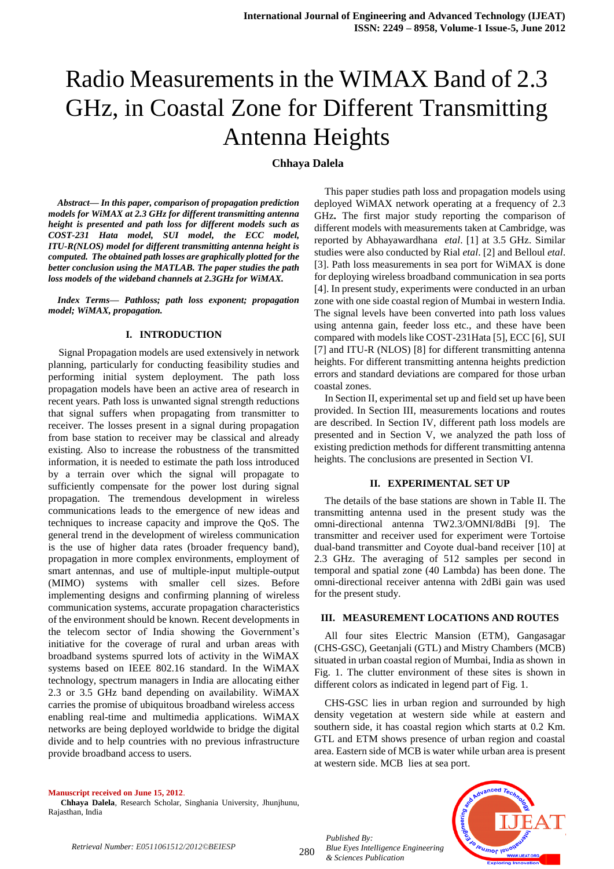# Radio Measurements in the WIMAX Band of 2.3 GHz, in Coastal Zone for Different Transmitting Antenna Heights

## **Chhaya Dalela**

*Abstract— In this paper, comparison of propagation prediction models for WiMAX at 2.3 GHz for different transmitting antenna height is presented and path loss for different models such as COST-231 Hata model, SUI model, the ECC model, ITU-R(NLOS) model for different transmitting antenna height is computed. The obtained path losses are graphically plotted for the better conclusion using the MATLAB. The paper studies the path loss models of the wideband channels at 2.3GHz for WiMAX.*

*Index Terms— Pathloss; path loss exponent; propagation model; WiMAX, propagation.*

## **I. INTRODUCTION**

Signal Propagation models are used extensively in network planning, particularly for conducting feasibility studies and performing initial system deployment. The path loss propagation models have been an active area of research in recent years. Path loss is unwanted signal strength reductions that signal suffers when propagating from transmitter to receiver. The losses present in a signal during propagation from base station to receiver may be classical and already existing. Also to increase the robustness of the transmitted information, it is needed to estimate the path loss introduced by a terrain over which the signal will propagate to sufficiently compensate for the power lost during signal propagation. The tremendous development in wireless communications leads to the emergence of new ideas and techniques to increase capacity and improve the QoS. The general trend in the development of wireless communication is the use of higher data rates (broader frequency band), propagation in more complex environments, employment of smart antennas, and use of multiple-input multiple-output (MIMO) systems with smaller cell sizes. Before implementing designs and confirming planning of wireless communication systems, accurate propagation characteristics of the environment should be known. Recent developments in the telecom sector of India showing the Government's initiative for the coverage of rural and urban areas with broadband systems spurred lots of activity in the WiMAX systems based on IEEE 802.16 standard. In the WiMAX technology, spectrum managers in India are allocating either 2.3 or 3.5 GHz band depending on availability. WiMAX carries the promise of ubiquitous broadband wireless access enabling real-time and multimedia applications. WiMAX networks are being deployed worldwide to bridge the digital divide and to help countries with no previous infrastructure provide broadband access to users.

 This paper studies path loss and propagation models using deployed WiMAX network operating at a frequency of 2.3 GHz**.** The first major study reporting the comparison of different models with measurements taken at Cambridge, was reported by Abhayawardhana *etal*. [1] at 3.5 GHz. Similar studies were also conducted by Rial *etal*. [2] and Belloul *etal*. [3]. Path loss measurements in sea port for WiMAX is done for deploying wireless broadband communication in sea ports [4]. In present study, experiments were conducted in an urban zone with one side coastal region of Mumbai in western India. The signal levels have been converted into path loss values using antenna gain, feeder loss etc., and these have been compared with models like COST-231Hata [5], ECC [6], SUI [7] and ITU-R (NLOS) [8] for different transmitting antenna heights. For different transmitting antenna heights prediction errors and standard deviations are compared for those urban coastal zones.

In Section II, experimental set up and field set up have been provided. In Section III, measurements locations and routes are described. In Section IV, different path loss models are presented and in Section V, we analyzed the path loss of existing prediction methods for different transmitting antenna heights. The conclusions are presented in Section VI.

#### **II. EXPERIMENTAL SET UP**

The details of the base stations are shown in Table II. The transmitting antenna used in the present study was the omni-directional antenna TW2.3/OMNI/8dBi [9]. The transmitter and receiver used for experiment were Tortoise dual-band transmitter and Coyote dual-band receiver [10] at 2.3 GHz. The averaging of 512 samples per second in temporal and spatial zone (40 Lambda) has been done. The omni-directional receiver antenna with 2dBi gain was used for the present study.

## **III. MEASUREMENT LOCATIONS AND ROUTES**

 All four sites Electric Mansion (ETM), Gangasagar (CHS-GSC), Geetanjali (GTL) and Mistry Chambers (MCB) situated in urban coastal region of Mumbai, India as shown in Fig. 1. The clutter environment of these sites is shown in different colors as indicated in legend part of Fig. 1.

CHS-GSC lies in urban region and surrounded by high density vegetation at western side while at eastern and southern side, it has coastal region which starts at 0.2 Km. GTL and ETM shows presence of urban region and coastal area. Eastern side of MCB is water while urban area is present at western side. MCB lies at sea port.

#### **Manuscript received on June 15, 2012**.

**Chhaya Dalela**, Research Scholar, Singhania University, Jhunjhunu, Rajasthan, India



*Published By:*

*& Sciences Publication*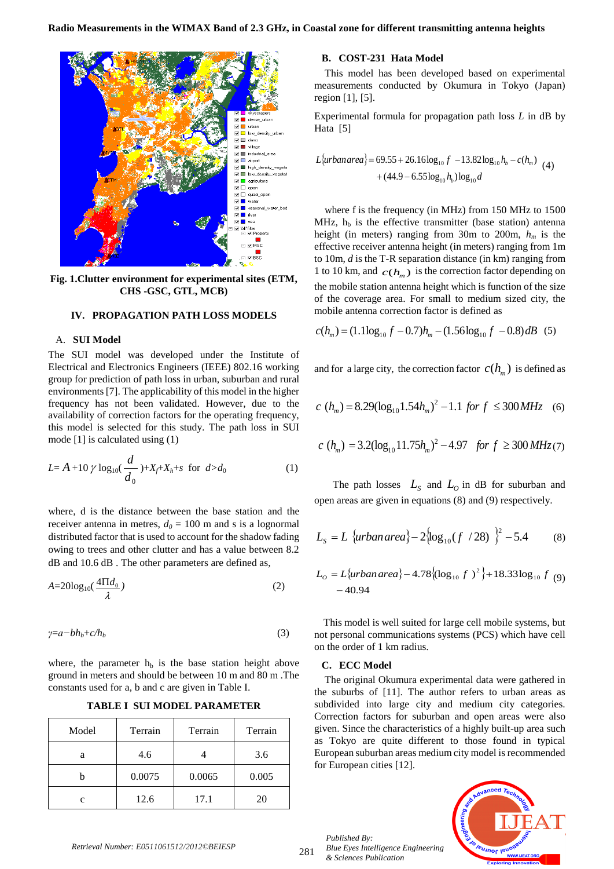

**Fig. 1.Clutter environment for experimental sites (ETM, CHS -GSC, GTL, MCB)**

## **IV. PROPAGATION PATH LOSS MODELS**

## A. **SUI Model**

The SUI model was developed under the Institute of Electrical and Electronics Engineers (IEEE) 802.16 working group for prediction of path loss in urban, suburban and rural environments [7]. The applicability of this model in the higher frequency has not been validated. However, due to the availability of correction factors for the operating frequency, this model is selected for this study. The path loss in SUI mode [1] is calculated using (1)

$$
L = A + 10 \gamma \log_{10}(\frac{d}{d_0}) + X_f + X_h + s \text{ for } d > d_0
$$
 (1)

where, d is the distance between the base station and the receiver antenna in metres,  $d_0 = 100$  m and s is a lognormal distributed factor that is used to account for the shadow fading owing to trees and other clutter and has a value between 8.2 dB and 10.6 dB . The other parameters are defined as,

$$
A = 20\log_{10}\left(\frac{4\Pi d_0}{\lambda}\right) \tag{2}
$$

$$
\gamma = a - bh_b + c/h_b \tag{3}
$$

where, the parameter  $h<sub>b</sub>$  is the base station height above ground in meters and should be between 10 m and 80 m .The constants used for a, b and c are given in Table I.

**TABLE I SUI MODEL PARAMETER**

| Model | Terrain | Terrain | Terrain |
|-------|---------|---------|---------|
| a     | 4.6     |         | 3.6     |
|       | 0.0075  | 0.0065  | 0.005   |
| c     | 12.6    | 17.1    | 20      |

## **B. COST-231 Hata Model**

 This model has been developed based on experimental measurements conducted by Okumura in Tokyo (Japan) region [1], [5].

Experimental formula for propagation path loss *L* in dB by Hata [5]

$$
L\{urban area\} = 69.55 + 26.16 \log_{10} f - 13.82 \log_{10} h_b - c(h_m)
$$
  
+  $(44.9 - 6.55 \log_{10} h_b) \log_{10} d$  (4)

where f is the frequency (in MHz) from 150 MHz to 1500 MHz,  $h_b$  is the effective transmitter (base station) antenna height (in meters) ranging from 30m to 200m, *h<sup>m</sup>* is the effective receiver antenna height (in meters) ranging from 1m to 10m, *d* is the T-R separation distance (in km) ranging from 1 to 10 km, and  $c(h_m)$  is the correction factor depending on the mobile station antenna height which is function of the size of the coverage area. For small to medium sized city, the mobile antenna correction factor is defined as

$$
c(h_m) = (1.1 \log_{10} f - 0.7)h_m - (1.56 \log_{10} f - 0.8)dB
$$
 (5)

and for a large city, the correction factor  $c(h_m)$  is defined as

$$
c \ (h_m) = 8.29(\log_{10} 1.54 h_m)^2 - 1.1 \ for \ f \ \leq 300 \ MHz \quad (6)
$$

$$
c(h_m) = 3.2(\log_{10} 11.75h_m)^2 - 4.97 \text{ for } f \ge 300 \, MHz \, (7)
$$

The path losses  $L_s$  and  $L_o$  in dB for suburban and open areas are given in equations (8) and (9) respectively.

$$
L_{S} = L \{urban area\} - 2\{\log_{10}(f / 28)\}^{2} - 5.4
$$
 (8)

$$
L_0 = L\{\text{urban area}\} - 4.78\{(\log_{10} f)^2\} + 18.33\log_{10} f \tag{9}
$$
  
- 40.94

This model is well suited for large cell mobile systems, but not personal communications systems (PCS) which have cell on the order of 1 km radius.

#### **C. ECC Model**

The original Okumura experimental data were gathered in the suburbs of [11]. The author refers to urban areas as subdivided into large city and medium city categories. Correction factors for suburban and open areas were also given. Since the characteristics of a highly built-up area such as Tokyo are quite different to those found in typical European suburban areas medium city model is recommended for European cities [12].

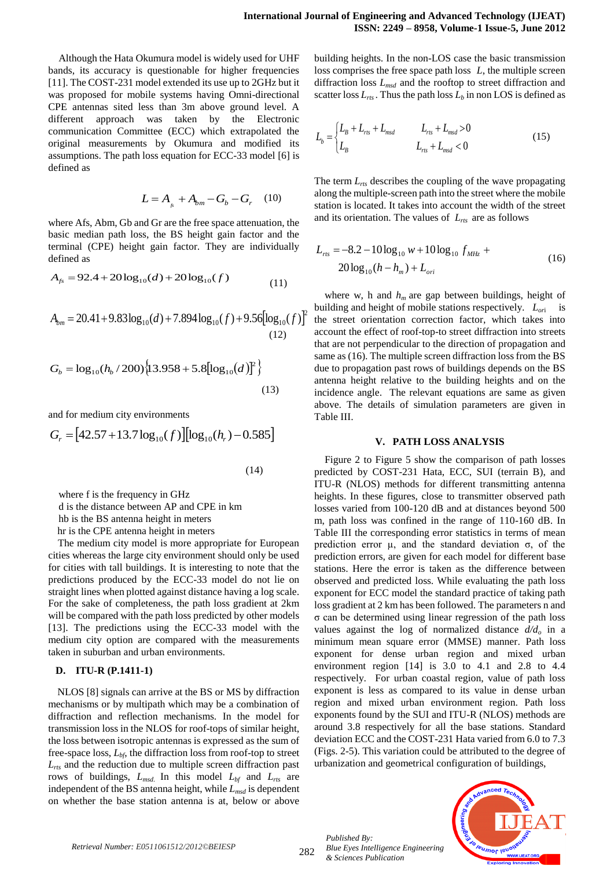Although the Hata Okumura model is widely used for UHF bands, its accuracy is questionable for higher frequencies [11]. The COST-231 model extended its use up to 2GHz but it was proposed for mobile systems having Omni-directional CPE antennas sited less than 3m above ground level. A different approach was taken by the Electronic communication Committee (ECC) which extrapolated the original measurements by Okumura and modified its assumptions. The path loss equation for ECC-33 model [6] is defined as

$$
L = A_{b} + A_{bm} - G_{b} - G_{r} \quad (10)
$$

where Afs, Abm, Gb and Gr are the free space attenuation, the basic median path loss, the BS height gain factor and the terminal (CPE) height gain factor. They are individually defined as

$$
A_{fs} = 92.4 + 20\log_{10}(d) + 20\log_{10}(f) \tag{11}
$$

$$
A_{bm} = 20.41 + 9.83 \log_{10}(d) + 7.894 \log_{10}(f) + 9.56 [\log_{10}(f)]^2
$$
\n(12)

$$
G_b = \log_{10}(h_b / 200) \{13.958 + 5.8[\log_{10}(d)]^2\}
$$
\n(13)

and for medium city environments

$$
G_r = [42.57 + 13.7 \log_{10}(f)][\log_{10}(h_r) - 0.585]
$$
\n(14)

where f is the frequency in GHz

d is the distance between AP and CPE in km hb is the BS antenna height in meters

hr is the CPE antenna height in meters

The medium city model is more appropriate for European cities whereas the large city environment should only be used for cities with tall buildings. It is interesting to note that the predictions produced by the ECC-33 model do not lie on straight lines when plotted against distance having a log scale. For the sake of completeness, the path loss gradient at 2km will be compared with the path loss predicted by other models [13]. The predictions using the ECC-33 model with the medium city option are compared with the measurements taken in suburban and urban environments.

## **D. ITU-R (P.1411-1)**

NLOS [8] signals can arrive at the BS or MS by diffraction mechanisms or by multipath which may be a combination of diffraction and reflection mechanisms. In the model for transmission loss in the NLOS for roof-tops of similar height, the loss between isotropic antennas is expressed as the sum of free-space loss, *Lbf*, the diffraction loss from roof-top to street *Lrts* and the reduction due to multiple screen diffraction past rows of buildings, *Lmsd*. In this model *Lbf* and *Lrts* are independent of the BS antenna height, while *Lmsd* is dependent on whether the base station antenna is at, below or above

building heights. In the non-LOS case the basic transmission loss comprises the free space path loss *L*, the multiple screen diffraction loss *Lmsd* and the rooftop to street diffraction and scatter loss  $L_{rts}$ . Thus the path loss  $L_b$  in non LOS is defined as

$$
L_{b} = \begin{cases} L_{B} + L_{rts} + L_{msd} & L_{rts} + L_{msd} > 0 \\ L_{B} & L_{rts} + L_{msd} < 0 \end{cases}
$$
 (15)

The term *Lrts* describes the coupling of the wave propagating along the multiple-screen path into the street where the mobile station is located. It takes into account the width of the street and its orientation. The values of *Lrts* are as follows

$$
L_{rs} = -8.2 - 10 \log_{10} w + 10 \log_{10} f_{MHz} + 20 \log_{10} (h - h_m) + L_{ori}
$$
 (16)

where w, h and *h<sup>m</sup>* are gap between buildings, height of building and height of mobile stations respectively. *Lor*<sup>i</sup> is the street orientation correction factor, which takes into account the effect of roof-top-to street diffraction into streets that are not perpendicular to the direction of propagation and same as (16). The multiple screen diffraction loss from the BS due to propagation past rows of buildings depends on the BS antenna height relative to the building heights and on the incidence angle. The relevant equations are same as given above. The details of simulation parameters are given in Table III.

#### **V. PATH LOSS ANALYSIS**

Figure 2 to Figure 5 show the comparison of path losses predicted by COST-231 Hata, ECC, SUI (terrain B), and ITU-R (NLOS) methods for different transmitting antenna heights. In these figures, close to transmitter observed path losses varied from 100-120 dB and at distances beyond 500 m, path loss was confined in the range of 110-160 dB. In Table III the corresponding error statistics in terms of mean prediction error  $\mu$ , and the standard deviation  $\sigma$ , of the prediction errors, are given for each model for different base stations. Here the error is taken as the difference between observed and predicted loss. While evaluating the path loss exponent for ECC model the standard practice of taking path loss gradient at 2 km has been followed. The parameters n and σ can be determined using linear regression of the path loss values against the log of normalized distance  $d/d<sub>o</sub>$  in a minimum mean square error (MMSE) manner. Path loss exponent for dense urban region and mixed urban environment region [14] is 3.0 to 4.1 and 2.8 to 4.4 respectively. For urban coastal region, value of path loss exponent is less as compared to its value in dense urban region and mixed urban environment region. Path loss exponents found by the SUI and ITU-R (NLOS) methods are around 3.8 respectively for all the base stations. Standard deviation ECC and the COST-231 Hata varied from 6.0 to 7.3 (Figs. 2-5). This variation could be attributed to the degree of urbanization and geometrical configuration of buildings,



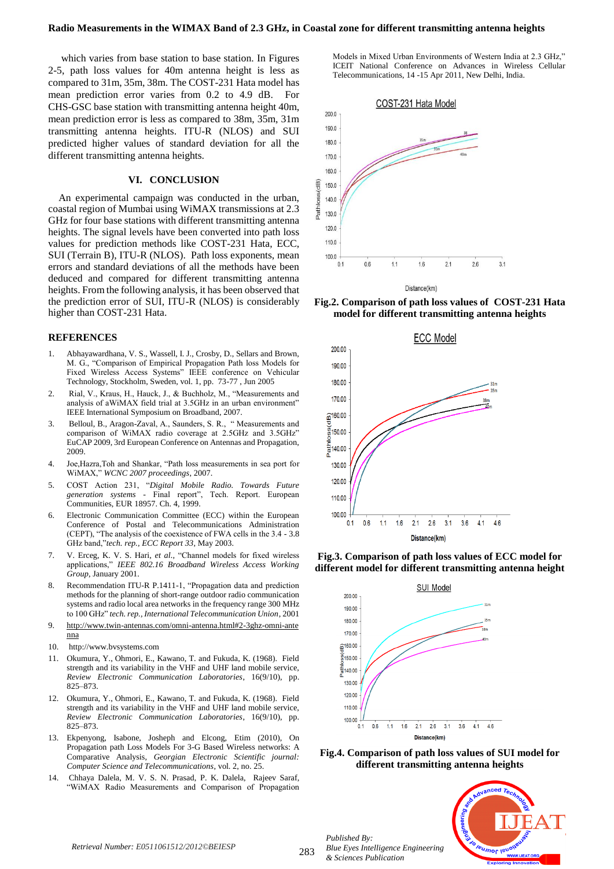which varies from base station to base station. In Figures 2-5, path loss values for 40m antenna height is less as compared to 31m, 35m, 38m. The COST-231 Hata model has mean prediction error varies from 0.2 to 4.9 dB. For CHS-GSC base station with transmitting antenna height 40m, mean prediction error is less as compared to 38m, 35m, 31m transmitting antenna heights. ITU-R (NLOS) and SUI predicted higher values of standard deviation for all the different transmitting antenna heights.

## **VI. CONCLUSION**

An experimental campaign was conducted in the urban, coastal region of Mumbai using WiMAX transmissions at 2.3 GHz for four base stations with different transmitting antenna heights. The signal levels have been converted into path loss values for prediction methods like COST-231 Hata, ECC, SUI (Terrain B), ITU-R (NLOS). Path loss exponents, mean errors and standard deviations of all the methods have been deduced and compared for different transmitting antenna heights. From the following analysis, it has been observed that the prediction error of SUI, ITU-R (NLOS) is considerably higher than COST-231 Hata.

#### **REFERENCES**

- 1. Abhayawardhana, V. S., Wassell, I. J., Crosby, D., Sellars and Brown, M. G., "Comparison of Empirical Propagation Path loss Models for Fixed Wireless Access Systems" IEEE conference on Vehicular Technology, Stockholm, Sweden, vol. 1, pp. 73-77 , Jun 2005
- 2. Rial, V., Kraus, H., Hauck, J., & Buchholz, M., "Measurements and analysis of aWiMAX field trial at 3.5GHz in an urban environment" IEEE International Symposium on Broadband, 2007.
- 3. Belloul, B., Aragon-Zaval, A., Saunders, S. R., " Measurements and comparison of WiMAX radio coverage at 2.5GHz and 3.5GHz" EuCAP 2009, 3rd European Conference on Antennas and Propagation, 2009.
- 4. Joe,Hazra,Toh and Shankar, "Path loss measurements in sea port for WiMAX," *WCNC 2007 proceedings*, 2007.
- 5. COST Action 231, "*Digital Mobile Radio. Towards Future generation systems* - Final report", Tech. Report. European Communities, EUR 18957. Ch. 4, 1999.
- 6. Electronic Communication Committee (ECC) within the European Conference of Postal and Telecommunications Administration (CEPT), "The analysis of the coexistence of FWA cells in the 3.4 - 3.8 GHz band,"*tech. rep., ECC Report 33*, May 2003.
- 7. V. Erceg, K. V. S. Hari, *et al.,* "Channel models for fixed wireless applications," *IEEE 802.16 Broadband Wireless Access Working Group*, January 2001.
- 8. Recommendation ITU-R P.1411-1, "Propagation data and prediction methods for the planning of short-range outdoor radio communication systems and radio local area networks in the frequency range 300 MHz to 100 GHz" *tech. rep., International Telecommunication Union*, 2001
- 9. [http://www.twin-antennas.com/omni-antenna.html#2-3ghz-omni-ante](http://www.twin-antennas.com/omni-antenna.html#2-3ghz-omni-antenna) [nna](http://www.twin-antennas.com/omni-antenna.html#2-3ghz-omni-antenna)
- 10. http:/[/www.bvsystems.com](http://www.bvsystems.com/)
- 11. Okumura, Y., Ohmori, E., Kawano, T. and Fukuda, K. (1968). Field strength and its variability in the VHF and UHF land mobile service, *Review Electronic Communication Laboratories*, 16(9/10), pp. 825–873.
- 12. Okumura, Y., Ohmori, E., Kawano, T. and Fukuda, K. (1968). Field strength and its variability in the VHF and UHF land mobile service, *Review Electronic Communication Laboratories*, 16(9/10), pp. 825–873.
- 13. Ekpenyong, Isabone, Josheph and Elcong, Etim (2010), On Propagation path Loss Models For 3-G Based Wireless networks: A Comparative Analysis, *Georgian Electronic Scientific journal: Computer Science and Telecommunications*, vol. 2, no. 25.
- 14. Chhaya Dalela, M. V. S. N. Prasad, P. K. Dalela, Rajeev Saraf, "WiMAX Radio Measurements and Comparison of Propagation

Models in Mixed Urban Environments of Western India at 2.3 GHz," ICEIT National Conference on Advances in Wireless Cellular Telecommunications, 14 -15 Apr 2011, New Delhi, India.



**Fig.2. Comparison of path loss values of COST-231 Hata model for different transmitting antenna heights**



**Fig.3. Comparison of path loss values of ECC model for different model for different transmitting antenna height**









283